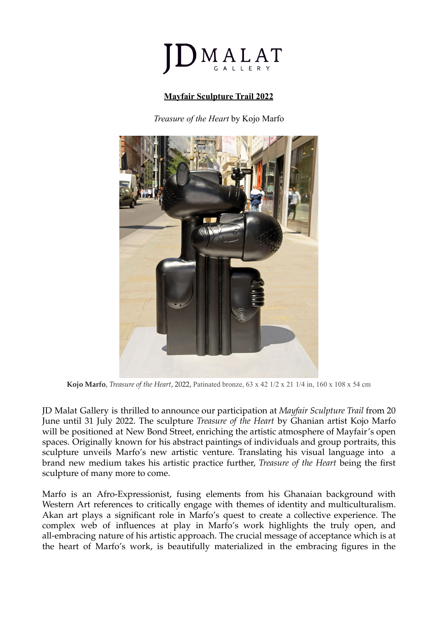

## **Mayfair Sculpture Trail 2022**

*Treasure of the Heart* by Kojo Marfo



**Kojo Marfo**, *Treasure of the Heart*, 2022, Patinated bronze, 63 x 42 1/2 x 21 1/4 in, 160 x 108 x 54 cm

JD Malat Gallery is thrilled to announce our participation at *Mayfair Sculpture Trail* from 20 June until 31 July 2022. The sculpture *Treasure of the Heart* by Ghanian artist Kojo Marfo will be positioned at New Bond Street, enriching the artistic atmosphere of Mayfair's open spaces. Originally known for his abstract paintings of individuals and group portraits, this sculpture unveils Marfo's new artistic venture. Translating his visual language into a brand new medium takes his artistic practice further, *Treasure of the Heart* being the first sculpture of many more to come.

Marfo is an Afro-Expressionist, fusing elements from his Ghanaian background with Western Art references to critically engage with themes of identity and multiculturalism. Akan art plays a significant role in Marfo's quest to create a collective experience. The complex web of influences at play in Marfo's work highlights the truly open, and all-embracing nature of his artistic approach. The crucial message of acceptance which is at the heart of Marfo's work, is beautifully materialized in the embracing figures in the